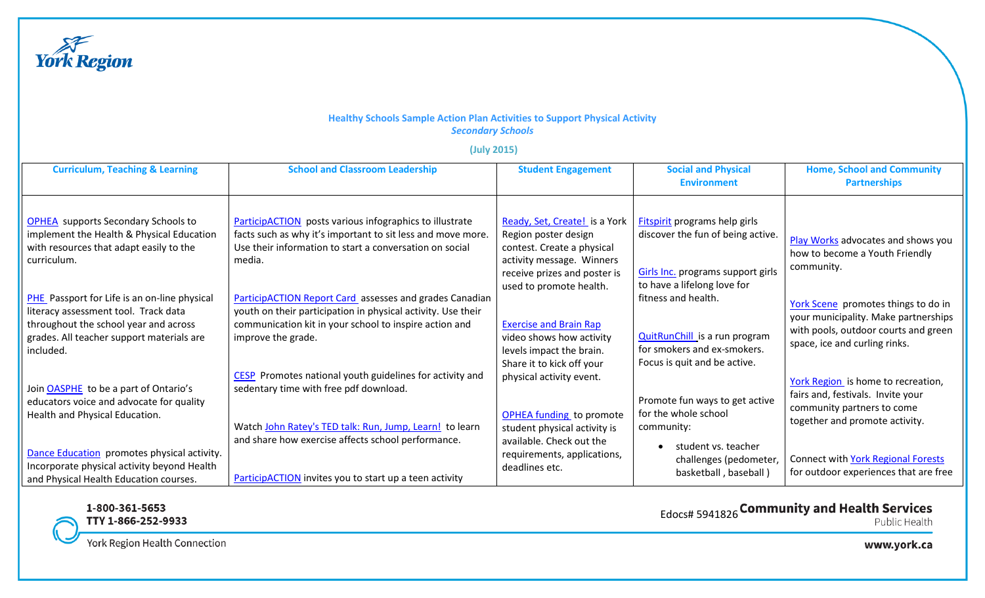

## **Healthy Schools Sample Action Plan Activities to Support Physical Activity** *Secondary Schools*

## **(July 2015)**

| <b>Curriculum, Teaching &amp; Learning</b>                                                                                                                                                     | <b>School and Classroom Leadership</b>                                                                                                                                                                  | <b>Student Engagement</b>                                                                                                                        | <b>Social and Physical</b><br><b>Environment</b>                                                                                              | <b>Home, School and Community</b><br><b>Partnerships</b>                                                                                             |
|------------------------------------------------------------------------------------------------------------------------------------------------------------------------------------------------|---------------------------------------------------------------------------------------------------------------------------------------------------------------------------------------------------------|--------------------------------------------------------------------------------------------------------------------------------------------------|-----------------------------------------------------------------------------------------------------------------------------------------------|------------------------------------------------------------------------------------------------------------------------------------------------------|
| <b>OPHEA</b> supports Secondary Schools to<br>implement the Health & Physical Education<br>with resources that adapt easily to the<br>curriculum.                                              | <b>ParticipACTION</b> posts various infographics to illustrate<br>facts such as why it's important to sit less and move more.<br>Use their information to start a conversation on social<br>media.      | Ready, Set, Create! is a York<br>Region poster design<br>contest. Create a physical<br>activity message. Winners<br>receive prizes and poster is | <b>Fitspirit programs help girls</b><br>discover the fun of being active.<br>Girls Inc. programs support girls<br>to have a lifelong love for | Play Works advocates and shows you<br>how to become a Youth Friendly<br>community.                                                                   |
| <b>PHE</b> Passport for Life is an on-line physical<br>literacy assessment tool. Track data<br>throughout the school year and across<br>grades. All teacher support materials are<br>included. | ParticipACTION Report Card assesses and grades Canadian<br>youth on their participation in physical activity. Use their<br>communication kit in your school to inspire action and<br>improve the grade. | used to promote health.<br><b>Exercise and Brain Rap</b><br>video shows how activity<br>levels impact the brain.<br>Share it to kick off your    | fitness and health.<br><b>QuitRunChill</b> is a run program<br>for smokers and ex-smokers.<br>Focus is quit and be active.                    | York Scene promotes things to do in<br>your municipality. Make partnerships<br>with pools, outdoor courts and green<br>space, ice and curling rinks. |
| Join OASPHE to be a part of Ontario's<br>educators voice and advocate for quality<br>Health and Physical Education.                                                                            | CESP Promotes national youth guidelines for activity and<br>sedentary time with free pdf download.<br>Watch John Ratey's TED talk: Run, Jump, Learn! to learn                                           | physical activity event.<br>OPHEA funding to promote<br>student physical activity is                                                             | Promote fun ways to get active<br>for the whole school<br>community:                                                                          | York Region is home to recreation,<br>fairs and, festivals. Invite your<br>community partners to come<br>together and promote activity.              |
| Dance Education promotes physical activity.<br>Incorporate physical activity beyond Health<br>and Physical Health Education courses.                                                           | and share how exercise affects school performance.<br><b>ParticipACTION</b> invites you to start up a teen activity                                                                                     | available. Check out the<br>requirements, applications,<br>deadlines etc.                                                                        | student vs. teacher<br>challenges (pedometer,<br>basketball, baseball)                                                                        | Connect with York Regional Forests<br>for outdoor experiences that are free                                                                          |



TTY 1-866-252-9933

York Region Health Connection

Edocs# 5941826 Community and Health Services Public Health

www.york.ca